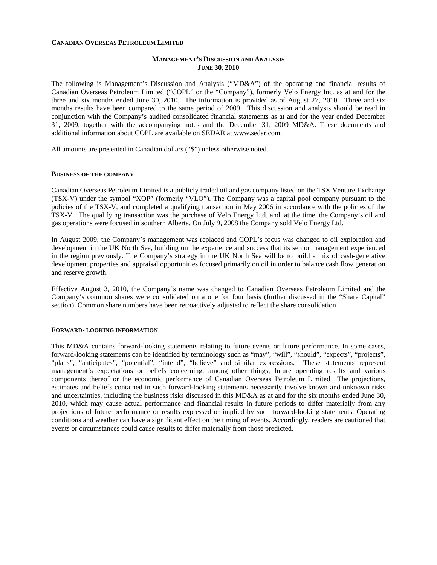#### **CANADIAN OVERSEAS PETROLEUM LIMITED**

## **MANAGEMENT'S DISCUSSION AND ANALYSIS JUNE 30, 2010**

The following is Management's Discussion and Analysis ("MD&A") of the operating and financial results of Canadian Overseas Petroleum Limited ("COPL" or the "Company"), formerly Velo Energy Inc. as at and for the three and six months ended June 30, 2010. The information is provided as of August 27, 2010. Three and six months results have been compared to the same period of 2009. This discussion and analysis should be read in conjunction with the Company's audited consolidated financial statements as at and for the year ended December 31, 2009, together with the accompanying notes and the December 31, 2009 MD&A. These documents and additional information about COPL are available on SEDAR at [www.sedar.com.](http://www.sedar.com/)

All amounts are presented in Canadian dollars ("\$") unless otherwise noted.

#### **BUSINESS OF THE COMPANY**

Canadian Overseas Petroleum Limited is a publicly traded oil and gas company listed on the TSX Venture Exchange (TSX-V) under the symbol "XOP" (formerly "VLO"). The Company was a capital pool company pursuant to the policies of the TSX-V, and completed a qualifying transaction in May 2006 in accordance with the policies of the TSX-V. The qualifying transaction was the purchase of Velo Energy Ltd. and, at the time, the Company's oil and gas operations were focused in southern Alberta. On July 9, 2008 the Company sold Velo Energy Ltd.

In August 2009, the Company's management was replaced and COPL's focus was changed to oil exploration and development in the UK North Sea, building on the experience and success that its senior management experienced in the region previously. The Company's strategy in the UK North Sea will be to build a mix of cash-generative development properties and appraisal opportunities focused primarily on oil in order to balance cash flow generation and reserve growth.

Effective August 3, 2010, the Company's name was changed to Canadian Overseas Petroleum Limited and the Company's common shares were consolidated on a one for four basis (further discussed in the "Share Capital" section). Common share numbers have been retroactively adjusted to reflect the share consolidation.

### **FORWARD- LOOKING INFORMATION**

This MD&A contains forward-looking statements relating to future events or future performance. In some cases, forward-looking statements can be identified by terminology such as "may", "will", "should", "expects", "projects", "plans", "anticipates", "potential", "intend", "believe" and similar expressions. These statements represent management's expectations or beliefs concerning, among other things, future operating results and various components thereof or the economic performance of Canadian Overseas Petroleum Limited The projections, estimates and beliefs contained in such forward-looking statements necessarily involve known and unknown risks and uncertainties, including the business risks discussed in this MD&A as at and for the six months ended June 30, 2010, which may cause actual performance and financial results in future periods to differ materially from any projections of future performance or results expressed or implied by such forward-looking statements. Operating conditions and weather can have a significant effect on the timing of events. Accordingly, readers are cautioned that events or circumstances could cause results to differ materially from those predicted.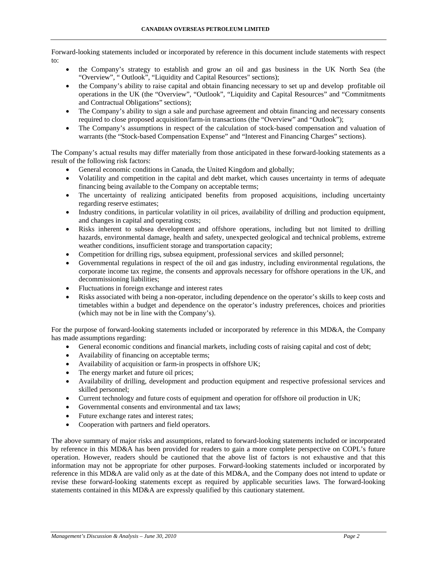Forward-looking statements included or incorporated by reference in this document include statements with respect to:

- the Company's strategy to establish and grow an oil and gas business in the UK North Sea (the "Overview", " Outlook", "Liquidity and Capital Resources" sections);
- the Company's ability to raise capital and obtain financing necessary to set up and develop profitable oil operations in the UK (the "Overview", "Outlook", "Liquidity and Capital Resources" and "Commitments and Contractual Obligations" sections);
- The Company's ability to sign a sale and purchase agreement and obtain financing and necessary consents required to close proposed acquisition/farm-in transactions (the "Overview" and "Outlook");
- The Company's assumptions in respect of the calculation of stock-based compensation and valuation of warrants (the "Stock-based Compensation Expense" and "Interest and Financing Charges" sections).

The Company's actual results may differ materially from those anticipated in these forward-looking statements as a result of the following risk factors:

- General economic conditions in Canada, the United Kingdom and globally;
- Volatility and competition in the capital and debt market, which causes uncertainty in terms of adequate financing being available to the Company on acceptable terms;
- The uncertainty of realizing anticipated benefits from proposed acquisitions, including uncertainty regarding reserve estimates;
- Industry conditions, in particular volatility in oil prices, availability of drilling and production equipment, and changes in capital and operating costs;
- Risks inherent to subsea development and offshore operations, including but not limited to drilling hazards, environmental damage, health and safety, unexpected geological and technical problems, extreme weather conditions, insufficient storage and transportation capacity;
- Competition for drilling rigs, subsea equipment, professional services and skilled personnel;
- Governmental regulations in respect of the oil and gas industry, including environmental regulations, the corporate income tax regime, the consents and approvals necessary for offshore operations in the UK, and decommissioning liabilities;
- Fluctuations in foreign exchange and interest rates
- Risks associated with being a non-operator, including dependence on the operator's skills to keep costs and timetables within a budget and dependence on the operator's industry preferences, choices and priorities (which may not be in line with the Company's).

For the purpose of forward-looking statements included or incorporated by reference in this MD&A, the Company has made assumptions regarding:

- General economic conditions and financial markets, including costs of raising capital and cost of debt;
- Availability of financing on acceptable terms;
- Availability of acquisition or farm-in prospects in offshore UK;
- The energy market and future oil prices;
- Availability of drilling, development and production equipment and respective professional services and skilled personnel;
- Current technology and future costs of equipment and operation for offshore oil production in UK;
- Governmental consents and environmental and tax laws:
- Future exchange rates and interest rates;
- Cooperation with partners and field operators.

The above summary of major risks and assumptions, related to forward-looking statements included or incorporated by reference in this MD&A has been provided for readers to gain a more complete perspective on COPL's future operation. However, readers should be cautioned that the above list of factors is not exhaustive and that this information may not be appropriate for other purposes. Forward-looking statements included or incorporated by reference in this MD&A are valid only as at the date of this MD&A, and the Company does not intend to update or revise these forward-looking statements except as required by applicable securities laws. The forward-looking statements contained in this MD&A are expressly qualified by this cautionary statement.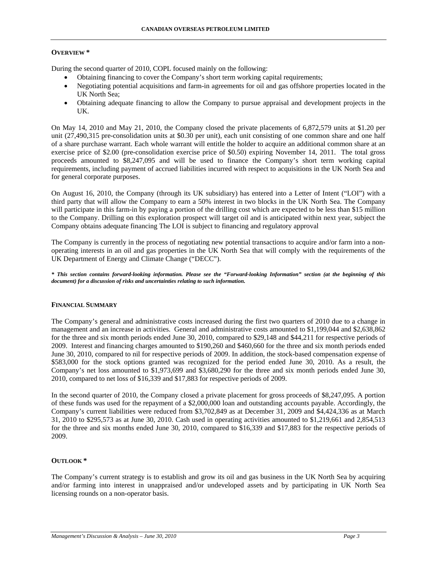## **OVERVIEW \***

During the second quarter of 2010, COPL focused mainly on the following:

- Obtaining financing to cover the Company's short term working capital requirements;
- Negotiating potential acquisitions and farm-in agreements for oil and gas offshore properties located in the UK North Sea;
- Obtaining adequate financing to allow the Company to pursue appraisal and development projects in the UK.

On May 14, 2010 and May 21, 2010, the Company closed the private placements of 6,872,579 units at \$1.20 per unit (27,490,315 pre-consolidation units at \$0.30 per unit), each unit consisting of one common share and one half of a share purchase warrant. Each whole warrant will entitle the holder to acquire an additional common share at an exercise price of \$2.00 (pre-consolidation exercise price of \$0.50) expiring November 14, 2011. The total gross proceeds amounted to \$8,247,095 and will be used to finance the Company's short term working capital requirements, including payment of accrued liabilities incurred with respect to acquisitions in the UK North Sea and for general corporate purposes.

On August 16, 2010, the Company (through its UK subsidiary) has entered into a Letter of Intent ("LOI") with a third party that will allow the Company to earn a 50% interest in two blocks in the UK North Sea. The Company will participate in this farm-in by paying a portion of the drilling cost which are expected to be less than \$15 million to the Company. Drilling on this exploration prospect will target oil and is anticipated within next year, subject the Company obtains adequate financing The LOI is subject to financing and regulatory approval

The Company is currently in the process of negotiating new potential transactions to acquire and/or farm into a nonoperating interests in an oil and gas properties in the UK North Sea that will comply with the requirements of the UK Department of Energy and Climate Change ("DECC").

*\* This section contains forward-looking information. Please see the "Forward-looking Information" section (at the beginning of this document) for a discussion of risks and uncertainties relating to such information.* 

### **FINANCIAL SUMMARY**

The Company's general and administrative costs increased during the first two quarters of 2010 due to a change in management and an increase in activities. General and administrative costs amounted to \$1,199,044 and \$2,638,862 for the three and six month periods ended June 30, 2010, compared to \$29,148 and \$44,211 for respective periods of 2009. Interest and financing charges amounted to \$190,260 and \$460,660 for the three and six month periods ended June 30, 2010, compared to nil for respective periods of 2009. In addition, the stock-based compensation expense of \$583,000 for the stock options granted was recognized for the period ended June 30, 2010. As a result, the Company's net loss amounted to \$1,973,699 and \$3,680,290 for the three and six month periods ended June 30, 2010, compared to net loss of \$16,339 and \$17,883 for respective periods of 2009.

In the second quarter of 2010, the Company closed a private placement for gross proceeds of \$8,247,095. A portion of these funds was used for the repayment of a \$2,000,000 loan and outstanding accounts payable. Accordingly, the Company's current liabilities were reduced from \$3,702,849 as at December 31, 2009 and \$4,424,336 as at March 31, 2010 to \$295,573 as at June 30, 2010. Cash used in operating activities amounted to \$1,219,661 and 2,854,513 for the three and six months ended June 30, 2010, compared to \$16,339 and \$17,883 for the respective periods of 2009.

# **OUTLOOK \***

The Company's current strategy is to establish and grow its oil and gas business in the UK North Sea by acquiring and/or farming into interest in unappraised and/or undeveloped assets and by participating in UK North Sea licensing rounds on a non-operator basis.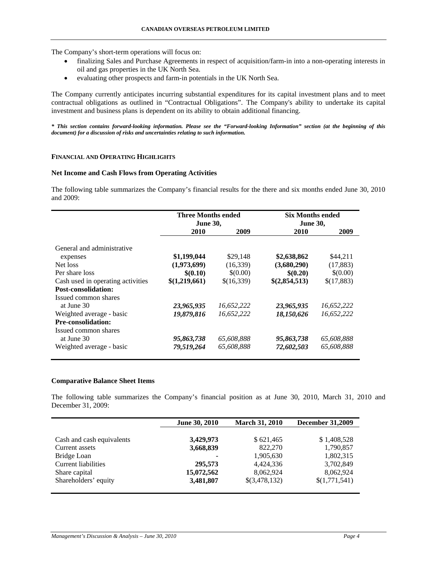The Company's short-term operations will focus on:

- finalizing Sales and Purchase Agreements in respect of acquisition/farm-in into a non-operating interests in oil and gas properties in the UK North Sea.
- evaluating other prospects and farm-in potentials in the UK North Sea.

The Company currently anticipates incurring substantial expenditures for its capital investment plans and to meet contractual obligations as outlined in "Contractual Obligations". The Company's ability to undertake its capital investment and business plans is dependent on its ability to obtain additional financing.

*\* This section contains forward-looking information. Please see the "Forward-looking Information" section (at the beginning of this document) for a discussion of risks and uncertainties relating to such information.* 

## **FINANCIAL AND OPERATING HIGHLIGHTS**

## **Net Income and Cash Flows from Operating Activities**

The following table summarizes the Company's financial results for the there and six months ended June 30, 2010 and 2009:

|                                   | Three Months ended<br><b>June 30,</b> |            | <b>Six Months ended</b> |            |
|-----------------------------------|---------------------------------------|------------|-------------------------|------------|
|                                   |                                       |            | <b>June 30,</b>         |            |
|                                   | 2010                                  | 2009       | 2010                    | 2009       |
| General and administrative        |                                       |            |                         |            |
| expenses                          | \$1,199,044                           | \$29,148   | \$2,638,862             | \$44,211   |
| Net loss                          | (1,973,699)                           | (16, 339)  | (3,680,290)             | (17, 883)  |
| Per share loss                    | \$(0.10)                              | \$(0.00)   | \$(0.20)                | \$(0.00)   |
| Cash used in operating activities | \$(1,219,661)                         | \$(16,339) | \$(2,854,513)           | \$(17,883) |
| <b>Post-consolidation:</b>        |                                       |            |                         |            |
| Issued common shares              |                                       |            |                         |            |
| at June 30                        | 23,965,935                            | 16,652,222 | 23,965,935              | 16,652,222 |
| Weighted average - basic          | 19,879,816                            | 16.652.222 | 18,150,626              | 16.652.222 |
| <b>Pre-consolidation:</b>         |                                       |            |                         |            |
| Issued common shares              |                                       |            |                         |            |
| at June 30                        | 95,863,738                            | 65,608,888 | 95,863,738              | 65,608,888 |
| Weighted average - basic          | 79,519,264                            | 65,608,888 | 72,602,503              | 65,608,888 |
|                                   |                                       |            |                         |            |

# **Comparative Balance Sheet Items**

The following table summarizes the Company's financial position as at June 30, 2010, March 31, 2010 and December 31, 2009:

|                                             | June 30, 2010          | <b>March 31, 2010</b>  | <b>December 31,2009</b>  |  |
|---------------------------------------------|------------------------|------------------------|--------------------------|--|
| Cash and cash equivalents<br>Current assets | 3,429,973<br>3,668,839 | \$621,465<br>822,270   | \$1,408,528<br>1,790,857 |  |
| Bridge Loan                                 |                        | 1,905,630              | 1,802,315                |  |
| Current liabilities<br>Share capital        | 295,573<br>15,072,562  | 4,424,336<br>8,062,924 | 3,702,849<br>8,062,924   |  |
| Shareholders' equity                        | 3,481,807              | \$(3,478,132)          | \$(1,771,541)            |  |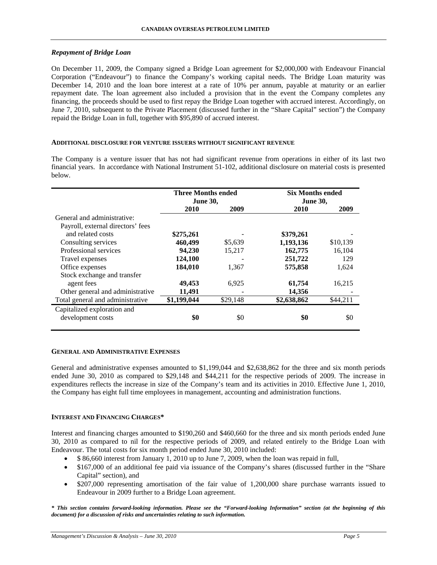## *Repayment of Bridge Loan*

On December 11, 2009, the Company signed a Bridge Loan agreement for \$2,000,000 with Endeavour Financial Corporation ("Endeavour") to finance the Company's working capital needs. The Bridge Loan maturity was December 14, 2010 and the loan bore interest at a rate of 10% per annum, payable at maturity or an earlier repayment date. The loan agreement also included a provision that in the event the Company completes any financing, the proceeds should be used to first repay the Bridge Loan together with accrued interest. Accordingly, on June 7, 2010, subsequent to the Private Placement (discussed further in the "Share Capital" section") the Company repaid the Bridge Loan in full, together with \$95,890 of accrued interest.

### **ADDITIONAL DISCLOSURE FOR VENTURE ISSUERS WITHOUT SIGNIFICANT REVENUE**

The Company is a venture issuer that has not had significant revenue from operations in either of its last two financial years. In accordance with National Instrument 51-102, additional disclosure on material costs is presented below.

|                                   | <b>Three Months ended</b><br><b>June 30,</b> |          | <b>Six Months ended</b><br><b>June 30,</b> |          |
|-----------------------------------|----------------------------------------------|----------|--------------------------------------------|----------|
|                                   | 2010                                         | 2009     | 2010                                       | 2009     |
| General and administrative:       |                                              |          |                                            |          |
| Payroll, external directors' fees |                                              |          |                                            |          |
| and related costs                 | \$275,261                                    |          | \$379,261                                  |          |
| Consulting services               | 460,499                                      | \$5,639  | 1,193,136                                  | \$10,139 |
| Professional services             | 94.230                                       | 15,217   | 162,775                                    | 16,104   |
| Travel expenses                   | 124,100                                      |          | 251,722                                    | 129      |
| Office expenses                   | 184,010                                      | 1,367    | 575,858                                    | 1,624    |
| Stock exchange and transfer       |                                              |          |                                            |          |
| agent fees                        | 49,453                                       | 6,925    | 61,754                                     | 16,215   |
| Other general and administrative  | 11,491                                       |          | 14,356                                     |          |
| Total general and administrative  | \$1,199,044                                  | \$29,148 | \$2,638,862                                | \$44,211 |
| Capitalized exploration and       |                                              |          |                                            |          |
| development costs                 | \$0                                          | \$0      | \$0                                        | \$0      |

### **GENERAL AND ADMINISTRATIVE EXPENSES**

General and administrative expenses amounted to \$1,199,044 and \$2,638,862 for the three and six month periods ended June 30, 2010 as compared to \$29,148 and \$44,211 for the respective periods of 2009. The increase in expenditures reflects the increase in size of the Company's team and its activities in 2010. Effective June 1, 2010, the Company has eight full time employees in management, accounting and administration functions.

## **INTEREST AND FINANCING CHARGES\***

Interest and financing charges amounted to \$190,260 and \$460,660 for the three and six month periods ended June 30, 2010 as compared to nil for the respective periods of 2009, and related entirely to the Bridge Loan with Endeavour. The total costs for six month period ended June 30, 2010 included:

- \$ 86,660 interest from January 1, 2010 up to June 7, 2009, when the loan was repaid in full,
- \$167,000 of an additional fee paid via issuance of the Company's shares (discussed further in the "Share" Capital" section), and
- \$207,000 representing amortisation of the fair value of 1,200,000 share purchase warrants issued to Endeavour in 2009 further to a Bridge Loan agreement.

*\* This section contains forward-looking information. Please see the "Forward-looking Information" section (at the beginning of this document) for a discussion of risks and uncertainties relating to such information.*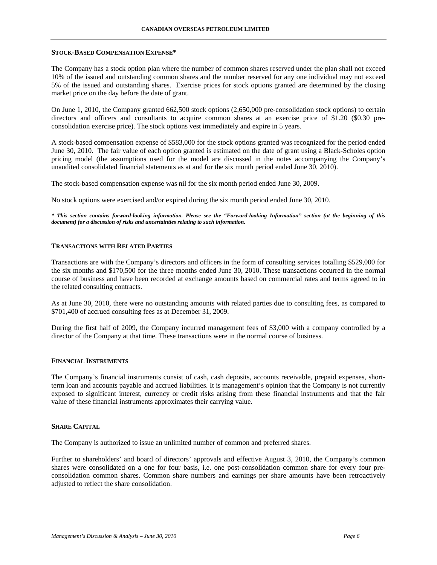#### **STOCK-BASED COMPENSATION EXPENSE\***

The Company has a stock option plan where the number of common shares reserved under the plan shall not exceed 10% of the issued and outstanding common shares and the number reserved for any one individual may not exceed 5% of the issued and outstanding shares. Exercise prices for stock options granted are determined by the closing market price on the day before the date of grant.

On June 1, 2010, the Company granted 662,500 stock options (2,650,000 pre-consolidation stock options) to certain directors and officers and consultants to acquire common shares at an exercise price of \$1.20 (\$0.30 preconsolidation exercise price). The stock options vest immediately and expire in 5 years.

A stock-based compensation expense of \$583,000 for the stock options granted was recognized for the period ended June 30, 2010. The fair value of each option granted is estimated on the date of grant using a Black-Scholes option pricing model (the assumptions used for the model are discussed in the notes accompanying the Company's unaudited consolidated financial statements as at and for the six month period ended June 30, 2010).

The stock-based compensation expense was nil for the six month period ended June 30, 2009.

No stock options were exercised and/or expired during the six month period ended June 30, 2010.

*\* This section contains forward-looking information. Please see the "Forward-looking Information" section (at the beginning of this document) for a discussion of risks and uncertainties relating to such information.* 

### **TRANSACTIONS WITH RELATED PARTIES**

Transactions are with the Company's directors and officers in the form of consulting services totalling \$529,000 for the six months and \$170,500 for the three months ended June 30, 2010. These transactions occurred in the normal course of business and have been recorded at exchange amounts based on commercial rates and terms agreed to in the related consulting contracts.

As at June 30, 2010, there were no outstanding amounts with related parties due to consulting fees, as compared to \$701,400 of accrued consulting fees as at December 31, 2009.

During the first half of 2009, the Company incurred management fees of \$3,000 with a company controlled by a director of the Company at that time. These transactions were in the normal course of business.

## **FINANCIAL INSTRUMENTS**

The Company's financial instruments consist of cash, cash deposits, accounts receivable, prepaid expenses, shortterm loan and accounts payable and accrued liabilities. It is management's opinion that the Company is not currently exposed to significant interest, currency or credit risks arising from these financial instruments and that the fair value of these financial instruments approximates their carrying value.

#### **SHARE CAPITAL**

The Company is authorized to issue an unlimited number of common and preferred shares.

Further to shareholders' and board of directors' approvals and effective August 3, 2010, the Company's common shares were consolidated on a one for four basis, i.e. one post-consolidation common share for every four preconsolidation common shares. Common share numbers and earnings per share amounts have been retroactively adjusted to reflect the share consolidation.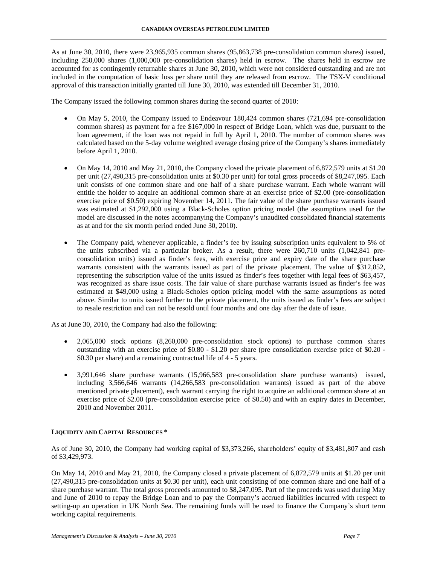As at June 30, 2010, there were 23,965,935 common shares (95,863,738 pre-consolidation common shares) issued, including 250,000 shares (1,000,000 pre-consolidation shares) held in escrow. The shares held in escrow are accounted for as contingently returnable shares at June 30, 2010, which were not considered outstanding and are not included in the computation of basic loss per share until they are released from escrow. The TSX-V conditional approval of this transaction initially granted till June 30, 2010, was extended till December 31, 2010.

The Company issued the following common shares during the second quarter of 2010:

- On May 5, 2010, the Company issued to Endeavour 180,424 common shares (721,694 pre-consolidation common shares) as payment for a fee \$167,000 in respect of Bridge Loan, which was due, pursuant to the loan agreement, if the loan was not repaid in full by April 1, 2010. The number of common shares was calculated based on the 5-day volume weighted average closing price of the Company's shares immediately before April 1, 2010.
- On May 14, 2010 and May 21, 2010, the Company closed the private placement of 6,872,579 units at \$1.20 per unit (27,490,315 pre-consolidation units at \$0.30 per unit) for total gross proceeds of \$8,247,095. Each unit consists of one common share and one half of a share purchase warrant. Each whole warrant will entitle the holder to acquire an additional common share at an exercise price of \$2.00 (pre-consolidation exercise price of \$0.50) expiring November 14, 2011. The fair value of the share purchase warrants issued was estimated at \$1,292,000 using a Black-Scholes option pricing model (the assumptions used for the model are discussed in the notes accompanying the Company's unaudited consolidated financial statements as at and for the six month period ended June 30, 2010).
- The Company paid, whenever applicable, a finder's fee by issuing subscription units equivalent to 5% of the units subscribed via a particular broker. As a result, there were 260,710 units (1,042,841 preconsolidation units) issued as finder's fees, with exercise price and expiry date of the share purchase warrants consistent with the warrants issued as part of the private placement. The value of \$312,852, representing the subscription value of the units issued as finder's fees together with legal fees of \$63,457, was recognized as share issue costs. The fair value of share purchase warrants issued as finder's fee was estimated at \$49,000 using a Black-Scholes option pricing model with the same assumptions as noted above. Similar to units issued further to the private placement, the units issued as finder's fees are subject to resale restriction and can not be resold until four months and one day after the date of issue.

As at June 30, 2010, the Company had also the following:

- 2,065,000 stock options (8,260,000 pre-consolidation stock options) to purchase common shares outstanding with an exercise price of \$0.80 - \$1.20 per share (pre consolidation exercise price of \$0.20 - \$0.30 per share) and a remaining contractual life of 4 - 5 years.
- 3,991,646 share purchase warrants (15,966,583 pre-consolidation share purchase warrants) issued, including 3,566,646 warrants (14,266,583 pre-consolidation warrants) issued as part of the above mentioned private placement), each warrant carrying the right to acquire an additional common share at an exercise price of \$2.00 (pre-consolidation exercise price of \$0.50) and with an expiry dates in December, 2010 and November 2011.

# **LIQUIDITY AND CAPITAL RESOURCES \***

As of June 30, 2010, the Company had working capital of \$3,373,266, shareholders' equity of \$3,481,807 and cash of \$3,429,973.

On May 14, 2010 and May 21, 2010, the Company closed a private placement of 6,872,579 units at \$1.20 per unit (27,490,315 pre-consolidation units at \$0.30 per unit), each unit consisting of one common share and one half of a share purchase warrant. The total gross proceeds amounted to \$8,247,095. Part of the proceeds was used during May and June of 2010 to repay the Bridge Loan and to pay the Company's accrued liabilities incurred with respect to setting-up an operation in UK North Sea. The remaining funds will be used to finance the Company's short term working capital requirements.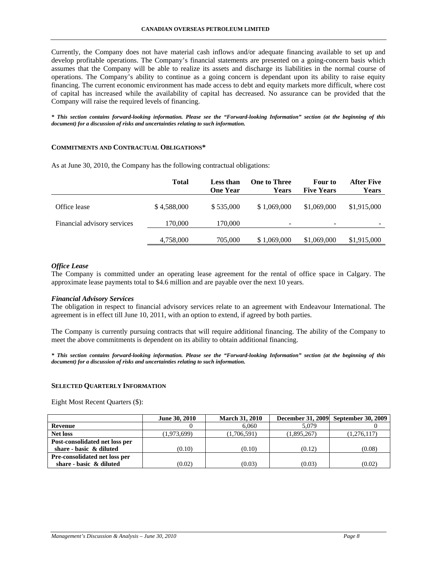Currently, the Company does not have material cash inflows and/or adequate financing available to set up and develop profitable operations. The Company's financial statements are presented on a going-concern basis which assumes that the Company will be able to realize its assets and discharge its liabilities in the normal course of operations. The Company's ability to continue as a going concern is dependant upon its ability to raise equity financing. The current economic environment has made access to debt and equity markets more difficult, where cost of capital has increased while the availability of capital has decreased. No assurance can be provided that the Company will raise the required levels of financing.

*\* This section contains forward-looking information. Please see the "Forward-looking Information" section (at the beginning of this document) for a discussion of risks and uncertainties relating to such information.* 

## **COMMITMENTS AND CONTRACTUAL OBLIGATIONS\***

|                             | <b>Total</b> | <b>Less than</b><br><b>One Year</b> | <b>One to Three</b><br>Years | Four to<br><b>Five Years</b> | After Five<br>Years      |
|-----------------------------|--------------|-------------------------------------|------------------------------|------------------------------|--------------------------|
| Office lease                | \$4,588,000  | \$535,000                           | \$1,069,000                  | \$1,069,000                  | \$1,915,000              |
| Financial advisory services | 170,000      | 170,000                             | $\blacksquare$               | $\sim$                       | $\overline{\phantom{a}}$ |
|                             | 4,758,000    | 705,000                             | \$1,069,000                  | \$1,069,000                  | \$1,915,000              |

As at June 30, 2010, the Company has the following contractual obligations:

## *Office Lease*

The Company is committed under an operating lease agreement for the rental of office space in Calgary. The approximate lease payments total to \$4.6 million and are payable over the next 10 years.

### *Financial Advisory Services*

The obligation in respect to financial advisory services relate to an agreement with Endeavour International. The agreement is in effect till June 10, 2011, with an option to extend, if agreed by both parties.

The Company is currently pursuing contracts that will require additional financing. The ability of the Company to meet the above commitments is dependent on its ability to obtain additional financing.

*\* This section contains forward-looking information. Please see the "Forward-looking Information" section (at the beginning of this document) for a discussion of risks and uncertainties relating to such information.* 

### **SELECTED QUARTERLY INFORMATION**

Eight Most Recent Quarters (\$):

|                                | June 30, 2010 | <b>March 31, 2010</b> |             | December 31, 2009 September 30, 2009 |
|--------------------------------|---------------|-----------------------|-------------|--------------------------------------|
| Revenue                        |               | 6.060                 | 5.079       |                                      |
| <b>Net loss</b>                | (1,973,699)   | (1,706,591)           | (1,895,267) | (1,276,117)                          |
| Post-consolidated net loss per |               |                       |             |                                      |
| share - basic & diluted        | (0.10)        | (0.10)                | (0.12)      | (0.08)                               |
| Pre-consolidated net loss per  |               |                       |             |                                      |
| share - basic & diluted        | (0.02)        | (0.03)                | (0.03)      | (0.02)                               |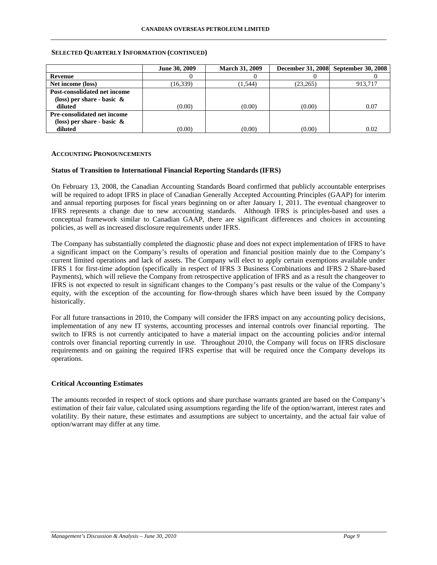### **SELECTED QUARTERLY INFORMATION (CONTINUED)**

|                               | June 30, 2009 | <b>March 31, 2009</b> |          | December 31, 2008 September 30, 2008 |
|-------------------------------|---------------|-----------------------|----------|--------------------------------------|
| Revenue                       |               |                       |          |                                      |
| Net income (loss)             | (16, 339)     | (1, 544)              | (23,265) | 913.717                              |
| Post-consolidated net income  |               |                       |          |                                      |
| (loss) per share - basic $\&$ |               |                       |          |                                      |
| diluted                       | (0.00)        | (0.00)                | (0.00)   | 0.07                                 |
| Pre-consolidated net income   |               |                       |          |                                      |
| (loss) per share - basic $\&$ |               |                       |          |                                      |
| diluted                       | (0.00)        | (0.00)                | (0.00)   | 0.02                                 |

#### **ACCOUNTING PRONOUNCEMENTS**

### **Status of Transition to International Financial Reporting Standards (IFRS)**

On February 13, 2008, the Canadian Accounting Standards Board confirmed that publicly accountable enterprises will be required to adopt IFRS in place of Canadian Generally Accepted Accounting Principles (GAAP) for interim and annual reporting purposes for fiscal years beginning on or after January 1, 2011. The eventual changeover to IFRS represents a change due to new accounting standards. Although IFRS is principles-based and uses a conceptual framework similar to Canadian GAAP, there are significant differences and choices in accounting policies, as well as increased disclosure requirements under IFRS.

The Company has substantially completed the diagnostic phase and does not expect implementation of IFRS to have a significant impact on the Company's results of operation and financial position mainly due to the Company's current limited operations and lack of assets. The Company will elect to apply certain exemptions available under IFRS 1 for first-time adoption (specifically in respect of IFRS 3 Business Combinations and IFRS 2 Share-based Payments), which will relieve the Company from retrospective application of IFRS and as a result the changeover to IFRS is not expected to result in significant changes to the Company's past results or the value of the Company's equity, with the exception of the accounting for flow-through shares which have been issued by the Company historically.

For all future transactions in 2010, the Company will consider the IFRS impact on any accounting policy decisions, implementation of any new IT systems, accounting processes and internal controls over financial reporting. The switch to IFRS is not currently anticipated to have a material impact on the accounting policies and/or internal controls over financial reporting currently in use. Throughout 2010, the Company will focus on IFRS disclosure requirements and on gaining the required IFRS expertise that will be required once the Company develops its operations.

### **Critical Accounting Estimates**

The amounts recorded in respect of stock options and share purchase warrants granted are based on the Company's estimation of their fair value, calculated using assumptions regarding the life of the option/warrant, interest rates and volatility. By their nature, these estimates and assumptions are subject to uncertainty, and the actual fair value of option/warrant may differ at any time.